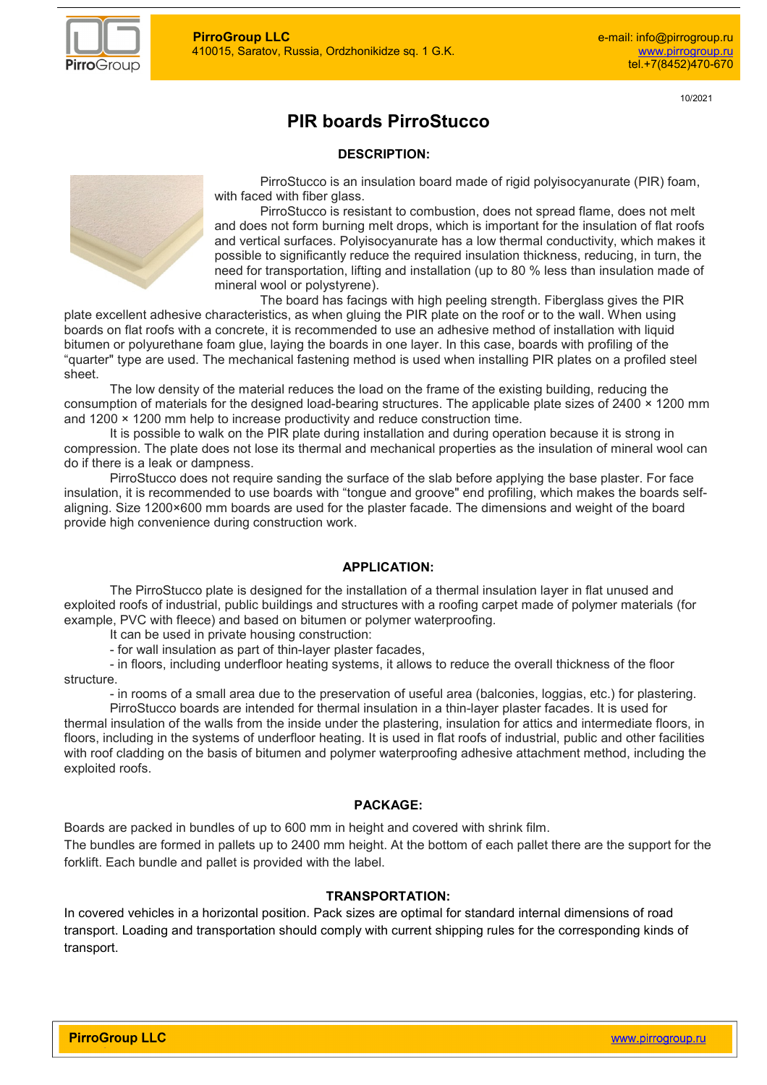

10/2021

# **PIR boards PirroStucco**

### **DESCRIPTION:**



PirroStucco is an insulation board made of rigid polyisocyanurate (PIR) foam, with faced with fiber glass.

PirroStucco is resistant to combustion, does not spread flame, does not melt and does not form burning melt drops, which is important for the insulation of flat roofs and vertical surfaces. Polyisocyanurate has a low thermal conductivity, which makes it possible to significantly reduce the required insulation thickness, reducing, in turn, the need for transportation, lifting and installation (up to 80 % less than insulation made of mineral wool or polystyrene).

The board has facings with high peeling strength. Fiberglass gives the PIR plate excellent adhesive characteristics, as when gluing the PIR plate on the roof or to the wall. When using boards on flat roofs with a concrete, it is recommended to use an adhesive method of installation with liquid bitumen or polyurethane foam glue, laying the boards in one layer. In this case, boards with profiling of the "quarter" type are used. The mechanical fastening method is used when installing PIR plates on a profiled steel sheet.

The low density of the material reduces the load on the frame of the existing building, reducing the consumption of materials for the designed load-bearing structures. The applicable plate sizes of 2400 × 1200 mm and 1200 × 1200 mm help to increase productivity and reduce construction time.

It is possible to walk on the PIR plate during installation and during operation because it is strong in compression. The plate does not lose its thermal and mechanical properties as the insulation of mineral wool can do if there is a leak or dampness.

PirroStucco does not require sanding the surface of the slab before applying the base plaster. For face insulation, it is recommended to use boards with "tongue and groove" end profiling, which makes the boards selfaligning. Size 1200×600 mm boards are used for the plaster facade. The dimensions and weight of the board provide high convenience during construction work.

#### **APPLICATION:**

The PirroStucco plate is designed for the installation of a thermal insulation layer in flat unused and exploited roofs of industrial, public buildings and structures with a roofing carpet made of polymer materials (for example, PVC with fleece) and based on bitumen or polymer waterproofing.

It can be used in private housing construction:

- for wall insulation as part of thin-layer plaster facades,

- in floors, including underfloor heating systems, it allows to reduce the overall thickness of the floor structure.

- in rooms of a small area due to the preservation of useful area (balconies, loggias, etc.) for plastering.

PirroStucco boards are intended for thermal insulation in a thin-layer plaster facades. It is used for thermal insulation of the walls from the inside under the plastering, insulation for attics and intermediate floors, in floors, including in the systems of underfloor heating. It is used in flat roofs of industrial, public and other facilities with roof cladding on the basis of bitumen and polymer waterproofing adhesive attachment method, including the exploited roofs.

#### **PACKAGE:**

Boards are packed in bundles of up to 600 mm in height and covered with shrink film.

The bundles are formed in pallets up to 2400 mm height. At the bottom of each pallet there are the support for the forklift. Each bundle and pallet is provided with the label.

#### **TRANSPORTATION:**

In covered vehicles in a horizontal position. Pack sizes are optimal for standard internal dimensions of road transport. Loading and transportation should comply with current shipping rules for the corresponding kinds of transport.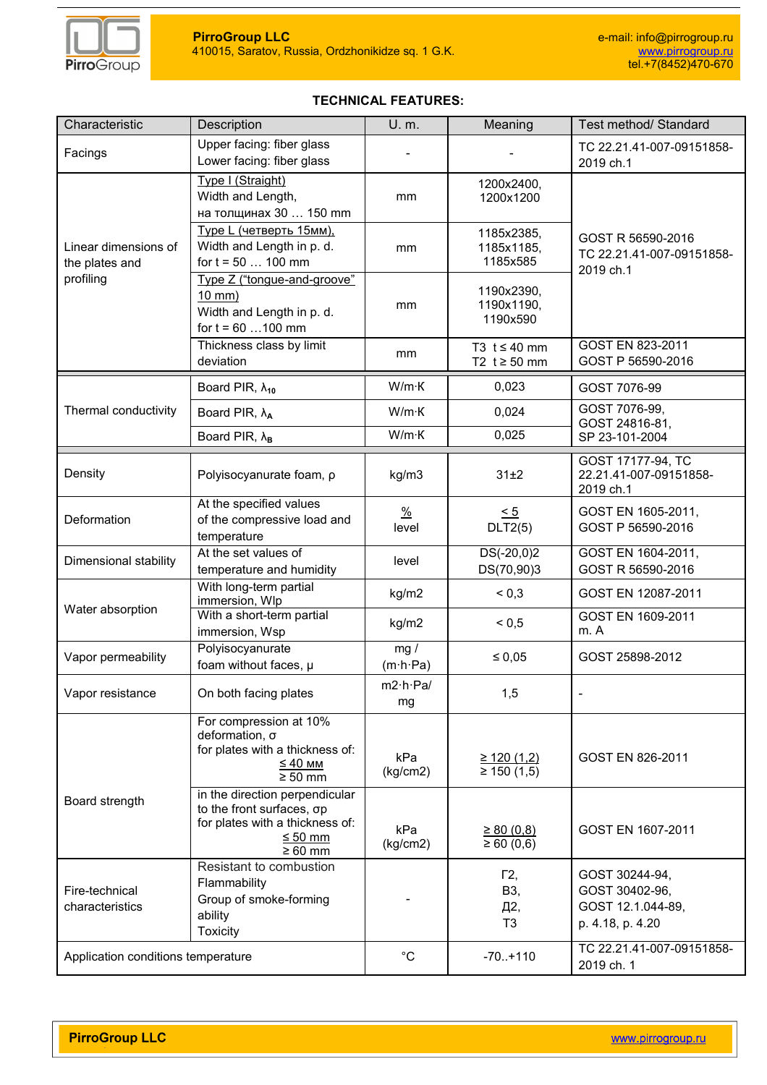

## **TECHNICAL FEATURES:**

| Characteristic                                      | Description                                                                                                                    | U. m.                         | Meaning                                     | Test method/ Standard                                                     |  |  |  |
|-----------------------------------------------------|--------------------------------------------------------------------------------------------------------------------------------|-------------------------------|---------------------------------------------|---------------------------------------------------------------------------|--|--|--|
| Facings                                             | Upper facing: fiber glass<br>Lower facing: fiber glass                                                                         |                               |                                             | TC 22.21.41-007-09151858-<br>2019 ch.1                                    |  |  |  |
|                                                     | Type I (Straight)<br>Width and Length,<br>на толщинах 30  150 mm                                                               | 1200x2400,<br>1200x1200<br>mm |                                             |                                                                           |  |  |  |
| Linear dimensions of<br>the plates and<br>profiling | Туре L (четверть 15мм),<br>Width and Length in p. d.<br>for $t = 50$ 100 mm                                                    | mm                            | 1185x2385,<br>1185x1185,<br>1185x585        | GOST R 56590-2016<br>TC 22.21.41-007-09151858-<br>2019 ch.1               |  |  |  |
|                                                     | Type Z ("tongue-and-groove"<br>$10$ mm $)$<br>Width and Length in p. d.<br>for $t = 60$ 100 mm                                 | mm                            | 1190x2390,<br>1190x1190,<br>1190x590        |                                                                           |  |  |  |
|                                                     | Thickness class by limit<br>deviation                                                                                          | mm                            | T3 $t \leq 40$ mm<br>T2 $t \geq 50$ mm      | GOST EN 823-2011<br>GOST P 56590-2016                                     |  |  |  |
|                                                     | Board PIR, $\lambda_{10}$                                                                                                      | $W/m$ K                       | 0,023                                       | GOST 7076-99                                                              |  |  |  |
| Thermal conductivity                                | Board PIR, $\lambda_A$                                                                                                         | $W/m$ K                       | 0,024                                       | GOST 7076-99,                                                             |  |  |  |
|                                                     | Board PIR, $\lambda_B$                                                                                                         | W/m·K                         | 0,025                                       | GOST 24816-81,<br>SP 23-101-2004                                          |  |  |  |
| Density                                             | Polyisocyanurate foam, p                                                                                                       | kg/m3                         | 31±2                                        | GOST 17177-94, TC<br>22.21.41-007-09151858-<br>2019 ch.1                  |  |  |  |
| Deformation                                         | At the specified values<br>of the compressive load and<br>temperature                                                          | $\frac{0}{2}$<br>level        | $\leq 5$<br>DLT2(5)                         | GOST EN 1605-2011,<br>GOST P 56590-2016                                   |  |  |  |
| Dimensional stability                               | At the set values of<br>temperature and humidity                                                                               | level                         | $DS(-20,0)2$<br>DS(70,90)3                  | GOST EN 1604-2011,<br>GOST R 56590-2016                                   |  |  |  |
|                                                     | With long-term partial<br>immersion, Wlp                                                                                       | kg/m2                         | ${}^{5}$ < 0,3                              | GOST EN 12087-2011                                                        |  |  |  |
| Water absorption                                    | With a short-term partial<br>immersion, Wsp                                                                                    | kg/m2                         | ${}^{5}$ 0.5                                | GOST EN 1609-2011<br>m. A                                                 |  |  |  |
| Vapor permeability                                  | Polyisocyanurate<br>foam without faces, µ                                                                                      | mg/<br>$(m \cdot h \cdot Pa)$ | $\leq 0.05$                                 | GOST 25898-2012                                                           |  |  |  |
| Vapor resistance                                    | On both facing plates                                                                                                          | $m2 \cdot h \cdot Pa/$<br>mg  | 1,5                                         |                                                                           |  |  |  |
|                                                     | For compression at 10%<br>deformation, σ<br>for plates with a thickness of:<br>$\leq 40$ MM<br>$\geq 50$ mm                    | kPa<br>(kg/cm2)               | ≥ 120(1,2)<br>$\geq 150(1,5)$               | GOST EN 826-2011                                                          |  |  |  |
| Board strength                                      | in the direction perpendicular<br>to the front surfaces, σp<br>for plates with a thickness of:<br>$\leq 50$ mm<br>$\geq 60$ mm | kPa<br>(kg/cm2)               | $\geq 80(0,8)$<br>$\geq 60(0,6)$            | GOST EN 1607-2011                                                         |  |  |  |
| Fire-technical<br>characteristics                   | Resistant to combustion<br>Flammability<br>Group of smoke-forming<br>ability<br><b>Toxicity</b>                                |                               | $\Gamma$ 2,<br>B3,<br>Д2,<br>T <sub>3</sub> | GOST 30244-94,<br>GOST 30402-96,<br>GOST 12.1.044-89,<br>p. 4.18, p. 4.20 |  |  |  |
| Application conditions temperature                  |                                                                                                                                | $^{\circ}C$                   | $-70.+110$                                  | TC 22.21.41-007-09151858-<br>2019 ch. 1                                   |  |  |  |